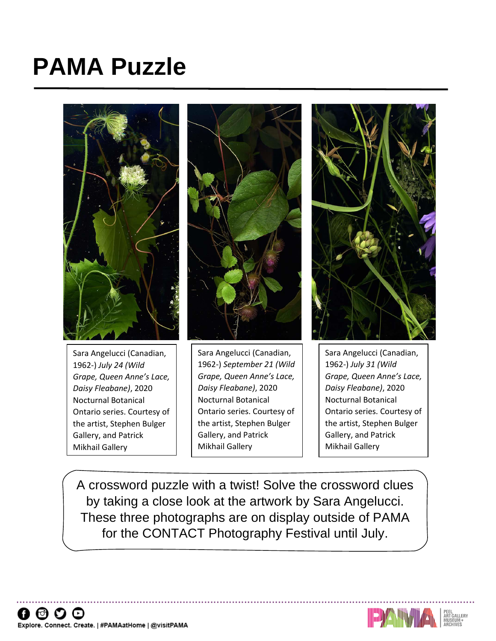# **PAMA Puzzle**



Sara Angelucci (Canadian, 1962-) *July 24 (Wild Grape, Queen Anne's Lace, Daisy Fleabane)*, 2020 Nocturnal Botanical Ontario series. Courtesy of the artist, Stephen Bulger Gallery, and Patrick Mikhail Gallery



Sara Angelucci (Canadian, 1962-) *September 21 (Wild Grape, Queen Anne's Lace, Daisy Fleabane)*, 2020 Nocturnal Botanical Ontario series. Courtesy of the artist, Stephen Bulger Gallery, and Patrick Mikhail Gallery



Sara Angelucci (Canadian, 1962-) *July 31 (Wild Grape, Queen Anne's Lace, Daisy Fleabane)*, 2020 Nocturnal Botanical Ontario series. Courtesy of the artist, Stephen Bulger Gallery, and Patrick Mikhail Gallery

A crossword puzzle with a twist! Solve the crossword clues by taking a close look at the artwork by Sara Angelucci. These three photographs are on display outside of PAMA for the CONTACT Photography Festival until July.

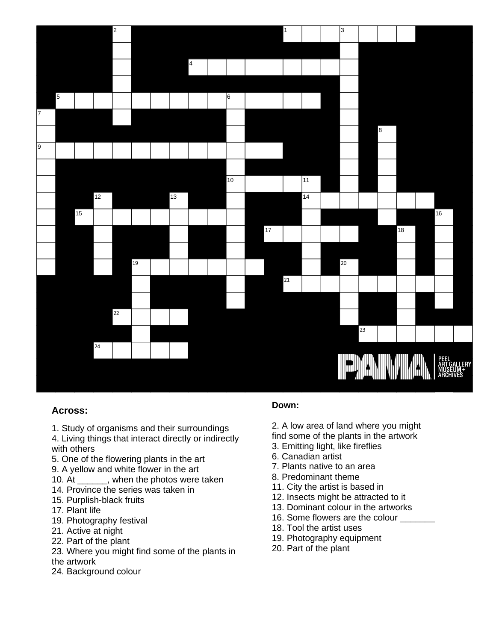

#### **Across:**

- 1. Study of organisms and their surroundings
- 4. Living things that interact directly or indirectly with others
- 5. One of the flowering plants in the art
- 9. A yellow and white flower in the art
- 10. At \_\_\_\_\_\_, when the photos were taken
- 14. Province the series was taken in
- 15. Purplish-black fruits
- 17. Plant life
- 19. Photography festival
- 21. Active at night
- 22. Part of the plant
- 23. Where you might find some of the plants in the artwork
- 24. Background colour

## **Down:**

- 2. A low area of land where you might
- find some of the plants in the artwork
- 3. Emitting light, like fireflies
- 6. Canadian artist
- 7. Plants native to an area
- 8. Predominant theme
- 11. City the artist is based in
- 12. Insects might be attracted to it
- 13. Dominant colour in the artworks
- 16. Some flowers are the colour
- 18. Tool the artist uses
- 19. Photography equipment
- 20. Part of the plant